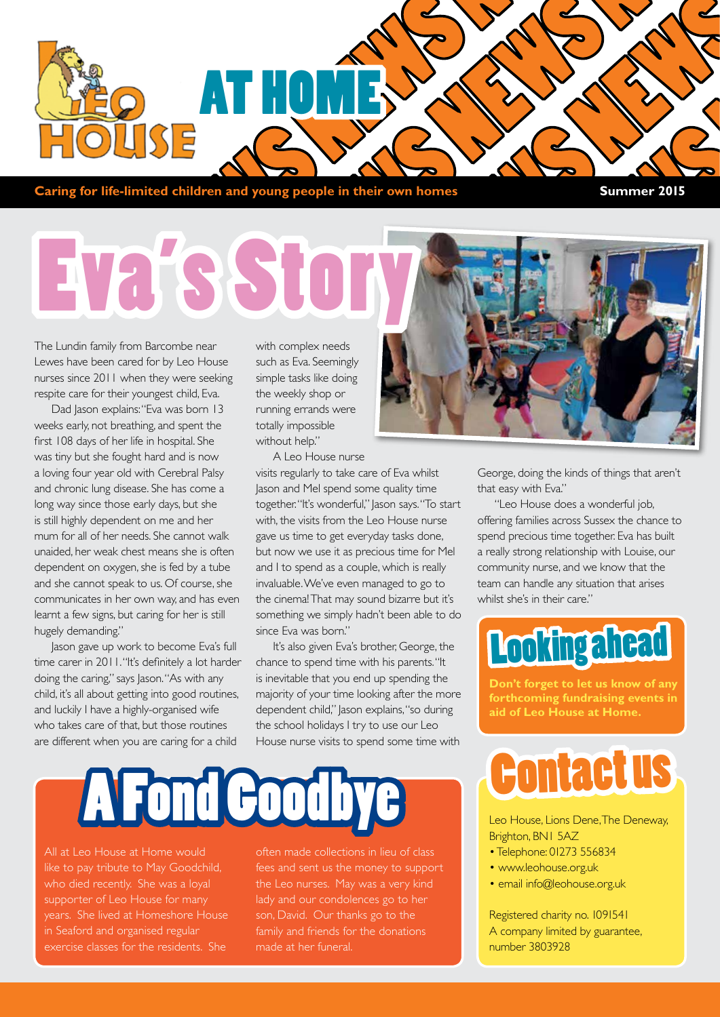

**Caring for life-limited children and young people in their own homes Summer 2015** 

# Eva's Sto

The Lundin family from Barcombe near Lewes have been cared for by Leo House nurses since 2011 when they were seeking respite care for their youngest child, Eva.

Dad Jason explains: "Eva was born 13 weeks early, not breathing, and spent the first 108 days of her life in hospital. She was tiny but she fought hard and is now a loving four year old with Cerebral Palsy and chronic lung disease. She has come a long way since those early days, but she is still highly dependent on me and her mum for all of her needs. She cannot walk unaided, her weak chest means she is often dependent on oxygen, she is fed by a tube and she cannot speak to us. Of course, she communicates in her own way, and has even learnt a few signs, but caring for her is still hugely demanding."

Jason gave up work to become Eva's full time carer in 2011. "It's definitely a lot harder doing the caring," says Jason. "As with any child, it's all about getting into good routines, and luckily I have a highly-organised wife who takes care of that, but those routines are different when you are caring for a child

with complex needs such as Eva. Seemingly simple tasks like doing the weekly shop or running errands were totally impossible without help."

A Leo House nurse visits regularly to take care of Eva whilst Jason and Mel spend some quality time together. "It's wonderful," Jason says. "To start with, the visits from the Leo House nurse gave us time to get everyday tasks done, but now we use it as precious time for Mel and I to spend as a couple, which is really invaluable. We've even managed to go to the cinema! That may sound bizarre but it's something we simply hadn't been able to do since Eva was born."

It's also given Eva's brother, George, the chance to spend time with his parents. "It is inevitable that you end up spending the majority of your time looking after the more dependent child," Jason explains, "so during the school holidays I try to use our Leo House nurse visits to spend some time with

# A Fond Goo

All at Leo House at Home would like to pay tribute to May Goodchild, who died recently. She was a loyal supporter of Leo House for many years. She lived at Homeshore House in Seaford and organised regular exercise classes for the residents. She

often made collections in lieu of class fees and sent us the money to support lady and our condolences go to her son, David. Our thanks go to the family and friends for the donations made at her funeral.



George, doing the kinds of things that aren't that easy with Eva."

"Leo House does a wonderful job, offering families across Sussex the chance to spend precious time together. Eva has built a really strong relationship with Louise, our community nurse, and we know that the team can handle any situation that arises whilst she's in their care."

### Looking ahead

**Don't forget to let us know of any forthcoming fundraising events in aid of Leo House at Home.**

## Contact us

Leo House, Lions Dene, The Deneway, Brighton, BN1 5AZ

- Telephone: 01273 556834
- www.leohouse.org.uk
- email info@leohouse.org.uk

Registered charity no. 1091541 A company limited by guarantee, number 3803928